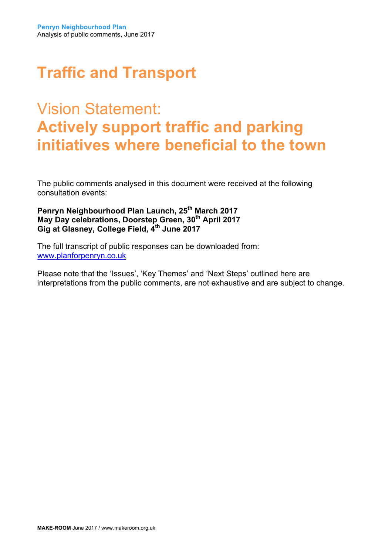## Vision Statement: **Actively support traffic and parking initiatives where beneficial to the town**

The public comments analysed in this document were received at the following consultation events:

Penryn Neighbourhood Plan Launch, 25<sup>th</sup> March 2017 **May Day celebrations, Doorstep Green, 30th April 2017 Gig at Glasney, College Field, 4th June 2017**

The full transcript of public responses can be downloaded from: www.planforpenryn.co.uk

Please note that the 'Issues', 'Key Themes' and 'Next Steps' outlined here are interpretations from the public comments, are not exhaustive and are subject to change.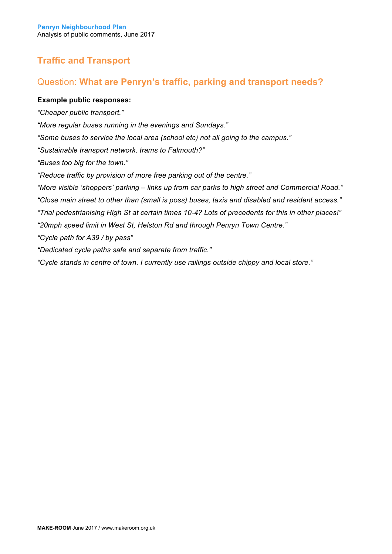## Question: **What are Penryn's traffic, parking and transport needs?**

#### **Example public responses:**

*"Cheaper public transport." "More regular buses running in the evenings and Sundays." "Some buses to service the local area (school etc) not all going to the campus." "Sustainable transport network, trams to Falmouth?" "Buses too big for the town." "Reduce traffic by provision of more free parking out of the centre." "More visible 'shoppers' parking – links up from car parks to high street and Commercial Road." "Close main street to other than (small is poss) buses, taxis and disabled and resident access." "Trial pedestrianising High St at certain times 10-4? Lots of precedents for this in other places!" "20mph speed limit in West St, Helston Rd and through Penryn Town Centre." "Cycle path for A39 / by pass" "Dedicated cycle paths safe and separate from traffic." "Cycle stands in centre of town. I currently use railings outside chippy and local store."*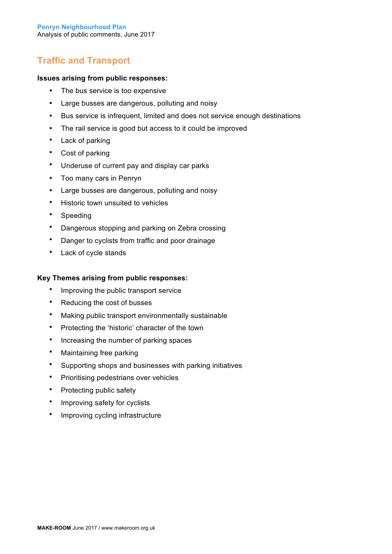#### **Issues arising from public responses:**

- The bus service is too expensive
- Large busses are dangerous, polluting and noisy
- Bus service is infrequent, limited and does not service enough destinations
- The rail service is good but access to it could be improved
- Lack of parking
- Cost of parking
- Underuse of current pay and display car parks
- Too many cars in Penryn
- Large busses are dangerous, polluting and noisy
- Historic town unsuited to vehicles
- Speeding
- Dangerous stopping and parking on Zebra crossing
- Danger to cyclists from traffic and poor drainage
- Lack of cycle stands

#### **Key Themes arising from public responses:**

- Improving the public transport service
- Reducing the cost of busses
- Making public transport environmentally sustainable
- Protecting the 'historic' character of the town
- Increasing the number of parking spaces
- Maintaining free parking
- Supporting shops and businesses with parking initiatives
- Prioritising pedestrians over vehicles
- Protecting public safety
- Improving safety for cyclists
- Improving cycling infrastructure